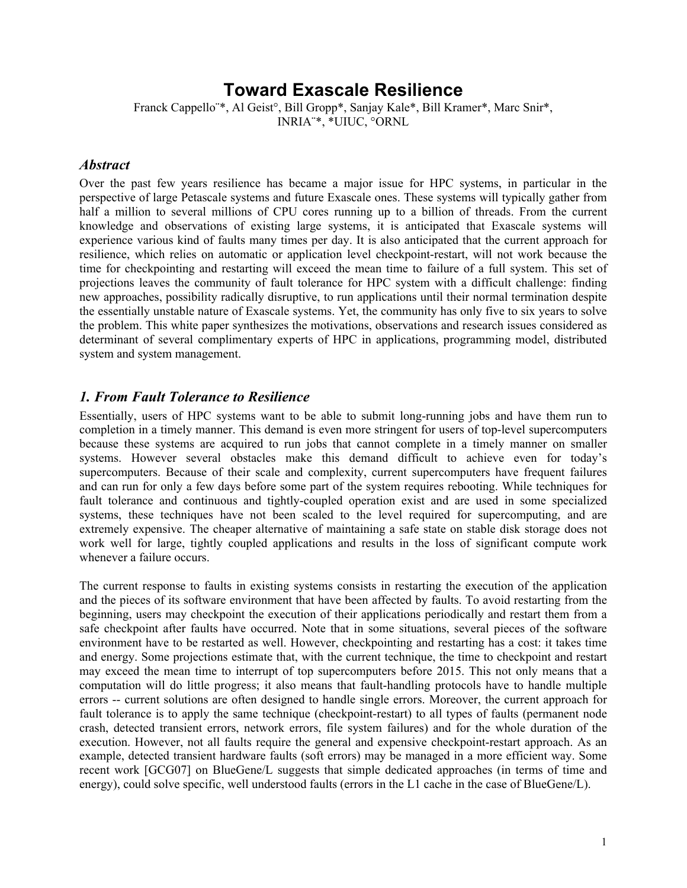# **Toward Exascale Resilience**

Franck Cappello¨\*, Al Geist°, Bill Gropp\*, Sanjay Kale\*, Bill Kramer\*, Marc Snir\*, INRIA¨\*, \*UIUC, °ORNL

#### *Abstract*

Over the past few years resilience has became a major issue for HPC systems, in particular in the perspective of large Petascale systems and future Exascale ones. These systems will typically gather from half a million to several millions of CPU cores running up to a billion of threads. From the current knowledge and observations of existing large systems, it is anticipated that Exascale systems will experience various kind of faults many times per day. It is also anticipated that the current approach for resilience, which relies on automatic or application level checkpoint-restart, will not work because the time for checkpointing and restarting will exceed the mean time to failure of a full system. This set of projections leaves the community of fault tolerance for HPC system with a difficult challenge: finding new approaches, possibility radically disruptive, to run applications until their normal termination despite the essentially unstable nature of Exascale systems. Yet, the community has only five to six years to solve the problem. This white paper synthesizes the motivations, observations and research issues considered as determinant of several complimentary experts of HPC in applications, programming model, distributed system and system management.

#### *1. From Fault Tolerance to Resilience*

Essentially, users of HPC systems want to be able to submit long-running jobs and have them run to completion in a timely manner. This demand is even more stringent for users of top-level supercomputers because these systems are acquired to run jobs that cannot complete in a timely manner on smaller systems. However several obstacles make this demand difficult to achieve even for today's supercomputers. Because of their scale and complexity, current supercomputers have frequent failures and can run for only a few days before some part of the system requires rebooting. While techniques for fault tolerance and continuous and tightly-coupled operation exist and are used in some specialized systems, these techniques have not been scaled to the level required for supercomputing, and are extremely expensive. The cheaper alternative of maintaining a safe state on stable disk storage does not work well for large, tightly coupled applications and results in the loss of significant compute work whenever a failure occurs.

The current response to faults in existing systems consists in restarting the execution of the application and the pieces of its software environment that have been affected by faults. To avoid restarting from the beginning, users may checkpoint the execution of their applications periodically and restart them from a safe checkpoint after faults have occurred. Note that in some situations, several pieces of the software environment have to be restarted as well. However, checkpointing and restarting has a cost: it takes time and energy. Some projections estimate that, with the current technique, the time to checkpoint and restart may exceed the mean time to interrupt of top supercomputers before 2015. This not only means that a computation will do little progress; it also means that fault-handling protocols have to handle multiple errors -- current solutions are often designed to handle single errors. Moreover, the current approach for fault tolerance is to apply the same technique (checkpoint-restart) to all types of faults (permanent node crash, detected transient errors, network errors, file system failures) and for the whole duration of the execution. However, not all faults require the general and expensive checkpoint-restart approach. As an example, detected transient hardware faults (soft errors) may be managed in a more efficient way. Some recent work [GCG07] on BlueGene/L suggests that simple dedicated approaches (in terms of time and energy), could solve specific, well understood faults (errors in the L1 cache in the case of BlueGene/L).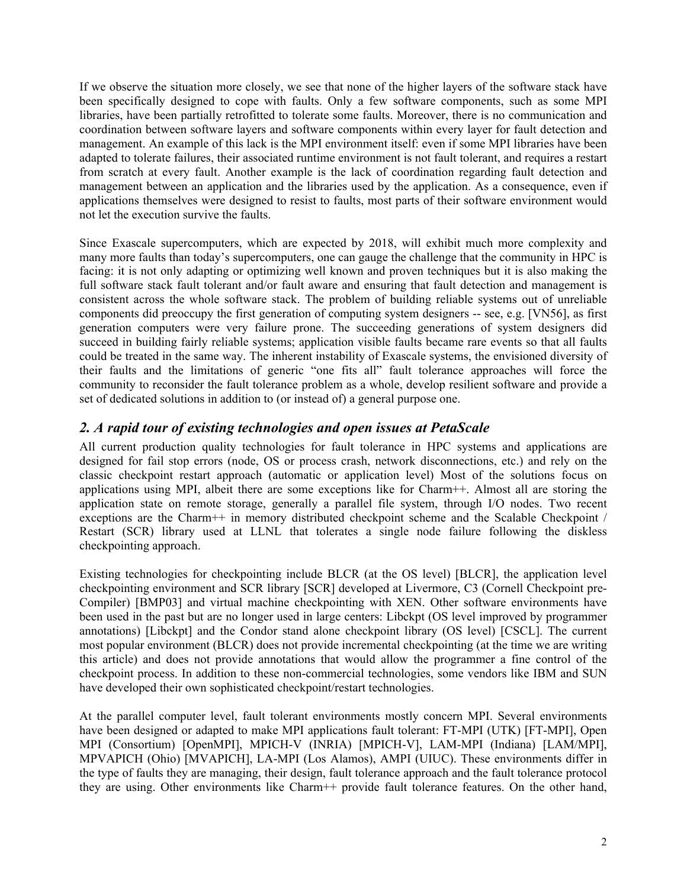If we observe the situation more closely, we see that none of the higher layers of the software stack have been specifically designed to cope with faults. Only a few software components, such as some MPI libraries, have been partially retrofitted to tolerate some faults. Moreover, there is no communication and coordination between software layers and software components within every layer for fault detection and management. An example of this lack is the MPI environment itself: even if some MPI libraries have been adapted to tolerate failures, their associated runtime environment is not fault tolerant, and requires a restart from scratch at every fault. Another example is the lack of coordination regarding fault detection and management between an application and the libraries used by the application. As a consequence, even if applications themselves were designed to resist to faults, most parts of their software environment would not let the execution survive the faults.

Since Exascale supercomputers, which are expected by 2018, will exhibit much more complexity and many more faults than today's supercomputers, one can gauge the challenge that the community in HPC is facing: it is not only adapting or optimizing well known and proven techniques but it is also making the full software stack fault tolerant and/or fault aware and ensuring that fault detection and management is consistent across the whole software stack. The problem of building reliable systems out of unreliable components did preoccupy the first generation of computing system designers -- see, e.g. [VN56], as first generation computers were very failure prone. The succeeding generations of system designers did succeed in building fairly reliable systems; application visible faults became rare events so that all faults could be treated in the same way. The inherent instability of Exascale systems, the envisioned diversity of their faults and the limitations of generic "one fits all" fault tolerance approaches will force the community to reconsider the fault tolerance problem as a whole, develop resilient software and provide a set of dedicated solutions in addition to (or instead of) a general purpose one.

# *2. A rapid tour of existing technologies and open issues at PetaScale*

All current production quality technologies for fault tolerance in HPC systems and applications are designed for fail stop errors (node, OS or process crash, network disconnections, etc.) and rely on the classic checkpoint restart approach (automatic or application level) Most of the solutions focus on applications using MPI, albeit there are some exceptions like for Charm++. Almost all are storing the application state on remote storage, generally a parallel file system, through I/O nodes. Two recent exceptions are the Charm++ in memory distributed checkpoint scheme and the Scalable Checkpoint / Restart (SCR) library used at LLNL that tolerates a single node failure following the diskless checkpointing approach.

Existing technologies for checkpointing include BLCR (at the OS level) [BLCR], the application level checkpointing environment and SCR library [SCR] developed at Livermore, C3 (Cornell Checkpoint pre-Compiler) [BMP03] and virtual machine checkpointing with XEN. Other software environments have been used in the past but are no longer used in large centers: Libckpt (OS level improved by programmer annotations) [Libckpt] and the Condor stand alone checkpoint library (OS level) [CSCL]. The current most popular environment (BLCR) does not provide incremental checkpointing (at the time we are writing this article) and does not provide annotations that would allow the programmer a fine control of the checkpoint process. In addition to these non-commercial technologies, some vendors like IBM and SUN have developed their own sophisticated checkpoint/restart technologies.

At the parallel computer level, fault tolerant environments mostly concern MPI. Several environments have been designed or adapted to make MPI applications fault tolerant: FT-MPI (UTK) [FT-MPI], Open MPI (Consortium) [OpenMPI], MPICH-V (INRIA) [MPICH-V], LAM-MPI (Indiana) [LAM/MPI], MPVAPICH (Ohio) [MVAPICH], LA-MPI (Los Alamos), AMPI (UIUC). These environments differ in the type of faults they are managing, their design, fault tolerance approach and the fault tolerance protocol they are using. Other environments like Charm++ provide fault tolerance features. On the other hand,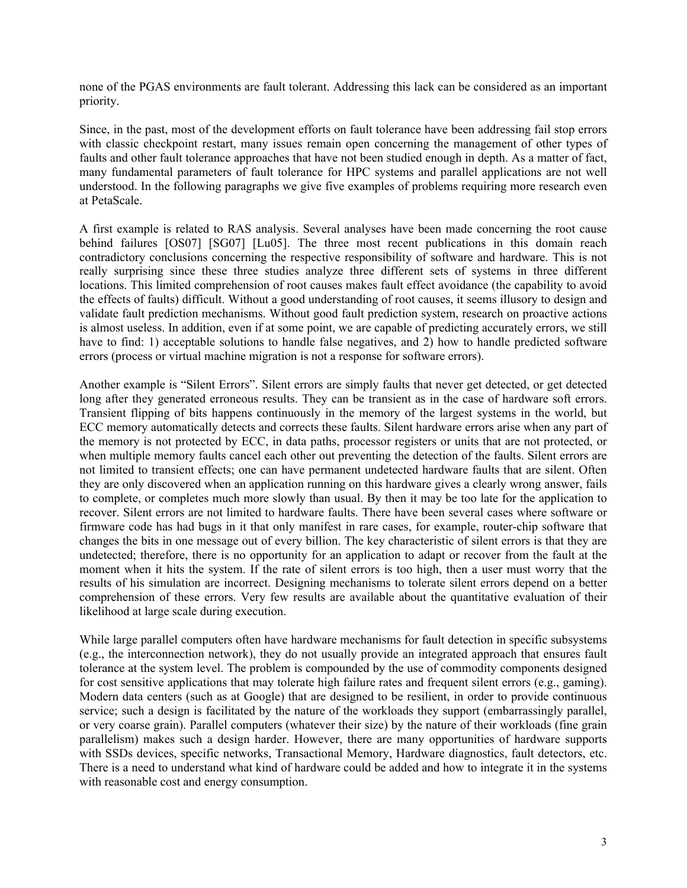none of the PGAS environments are fault tolerant. Addressing this lack can be considered as an important priority.

Since, in the past, most of the development efforts on fault tolerance have been addressing fail stop errors with classic checkpoint restart, many issues remain open concerning the management of other types of faults and other fault tolerance approaches that have not been studied enough in depth. As a matter of fact, many fundamental parameters of fault tolerance for HPC systems and parallel applications are not well understood. In the following paragraphs we give five examples of problems requiring more research even at PetaScale.

A first example is related to RAS analysis. Several analyses have been made concerning the root cause behind failures [OS07] [SG07] [Lu05]. The three most recent publications in this domain reach contradictory conclusions concerning the respective responsibility of software and hardware. This is not really surprising since these three studies analyze three different sets of systems in three different locations. This limited comprehension of root causes makes fault effect avoidance (the capability to avoid the effects of faults) difficult. Without a good understanding of root causes, it seems illusory to design and validate fault prediction mechanisms. Without good fault prediction system, research on proactive actions is almost useless. In addition, even if at some point, we are capable of predicting accurately errors, we still have to find: 1) acceptable solutions to handle false negatives, and 2) how to handle predicted software errors (process or virtual machine migration is not a response for software errors).

Another example is "Silent Errors". Silent errors are simply faults that never get detected, or get detected long after they generated erroneous results. They can be transient as in the case of hardware soft errors. Transient flipping of bits happens continuously in the memory of the largest systems in the world, but ECC memory automatically detects and corrects these faults. Silent hardware errors arise when any part of the memory is not protected by ECC, in data paths, processor registers or units that are not protected, or when multiple memory faults cancel each other out preventing the detection of the faults. Silent errors are not limited to transient effects; one can have permanent undetected hardware faults that are silent. Often they are only discovered when an application running on this hardware gives a clearly wrong answer, fails to complete, or completes much more slowly than usual. By then it may be too late for the application to recover. Silent errors are not limited to hardware faults. There have been several cases where software or firmware code has had bugs in it that only manifest in rare cases, for example, router-chip software that changes the bits in one message out of every billion. The key characteristic of silent errors is that they are undetected; therefore, there is no opportunity for an application to adapt or recover from the fault at the moment when it hits the system. If the rate of silent errors is too high, then a user must worry that the results of his simulation are incorrect. Designing mechanisms to tolerate silent errors depend on a better comprehension of these errors. Very few results are available about the quantitative evaluation of their likelihood at large scale during execution.

While large parallel computers often have hardware mechanisms for fault detection in specific subsystems (e.g., the interconnection network), they do not usually provide an integrated approach that ensures fault tolerance at the system level. The problem is compounded by the use of commodity components designed for cost sensitive applications that may tolerate high failure rates and frequent silent errors (e.g., gaming). Modern data centers (such as at Google) that are designed to be resilient, in order to provide continuous service; such a design is facilitated by the nature of the workloads they support (embarrassingly parallel, or very coarse grain). Parallel computers (whatever their size) by the nature of their workloads (fine grain parallelism) makes such a design harder. However, there are many opportunities of hardware supports with SSDs devices, specific networks, Transactional Memory, Hardware diagnostics, fault detectors, etc. There is a need to understand what kind of hardware could be added and how to integrate it in the systems with reasonable cost and energy consumption.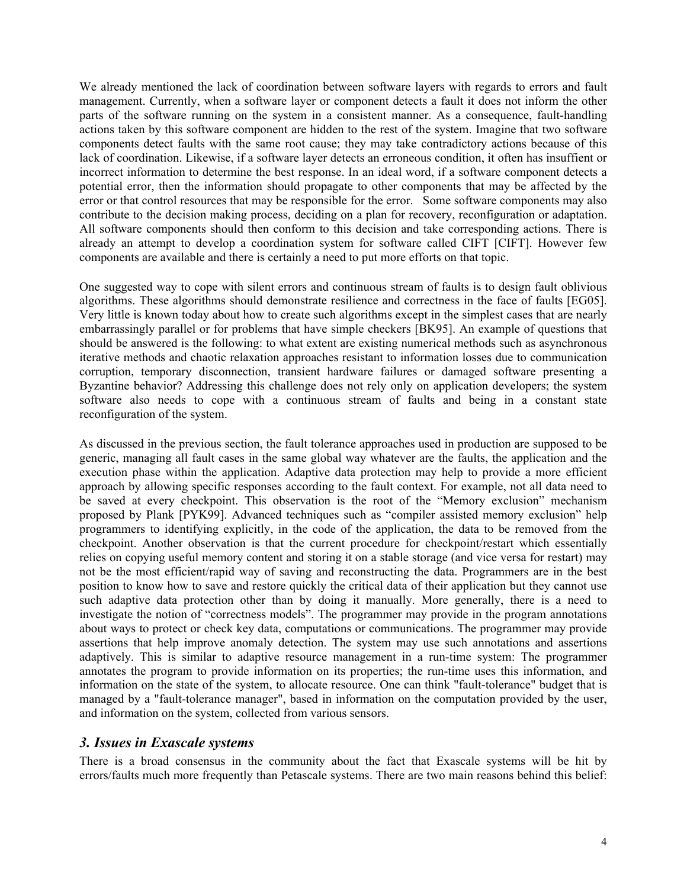We already mentioned the lack of coordination between software layers with regards to errors and fault management. Currently, when a software layer or component detects a fault it does not inform the other parts of the software running on the system in a consistent manner. As a consequence, fault-handling actions taken by this software component are hidden to the rest of the system. Imagine that two software components detect faults with the same root cause; they may take contradictory actions because of this lack of coordination. Likewise, if a software layer detects an erroneous condition, it often has insuffient or incorrect information to determine the best response. In an ideal word, if a software component detects a potential error, then the information should propagate to other components that may be affected by the error or that control resources that may be responsible for the error. Some software components may also contribute to the decision making process, deciding on a plan for recovery, reconfiguration or adaptation. All software components should then conform to this decision and take corresponding actions. There is already an attempt to develop a coordination system for software called CIFT [CIFT]. However few components are available and there is certainly a need to put more efforts on that topic.

One suggested way to cope with silent errors and continuous stream of faults is to design fault oblivious algorithms. These algorithms should demonstrate resilience and correctness in the face of faults [EG05]. Very little is known today about how to create such algorithms except in the simplest cases that are nearly embarrassingly parallel or for problems that have simple checkers [BK95]. An example of questions that should be answered is the following: to what extent are existing numerical methods such as asynchronous iterative methods and chaotic relaxation approaches resistant to information losses due to communication corruption, temporary disconnection, transient hardware failures or damaged software presenting a Byzantine behavior? Addressing this challenge does not rely only on application developers; the system software also needs to cope with a continuous stream of faults and being in a constant state reconfiguration of the system.

As discussed in the previous section, the fault tolerance approaches used in production are supposed to be generic, managing all fault cases in the same global way whatever are the faults, the application and the execution phase within the application. Adaptive data protection may help to provide a more efficient approach by allowing specific responses according to the fault context. For example, not all data need to be saved at every checkpoint. This observation is the root of the "Memory exclusion" mechanism proposed by Plank [PYK99]. Advanced techniques such as "compiler assisted memory exclusion" help programmers to identifying explicitly, in the code of the application, the data to be removed from the checkpoint. Another observation is that the current procedure for checkpoint/restart which essentially relies on copying useful memory content and storing it on a stable storage (and vice versa for restart) may not be the most efficient/rapid way of saving and reconstructing the data. Programmers are in the best position to know how to save and restore quickly the critical data of their application but they cannot use such adaptive data protection other than by doing it manually. More generally, there is a need to investigate the notion of "correctness models". The programmer may provide in the program annotations about ways to protect or check key data, computations or communications. The programmer may provide assertions that help improve anomaly detection. The system may use such annotations and assertions adaptively. This is similar to adaptive resource management in a run-time system: The programmer annotates the program to provide information on its properties; the run-time uses this information, and information on the state of the system, to allocate resource. One can think "fault-tolerance" budget that is managed by a "fault-tolerance manager", based in information on the computation provided by the user, and information on the system, collected from various sensors.

#### *3. Issues in Exascale systems*

There is a broad consensus in the community about the fact that Exascale systems will be hit by errors/faults much more frequently than Petascale systems. There are two main reasons behind this belief: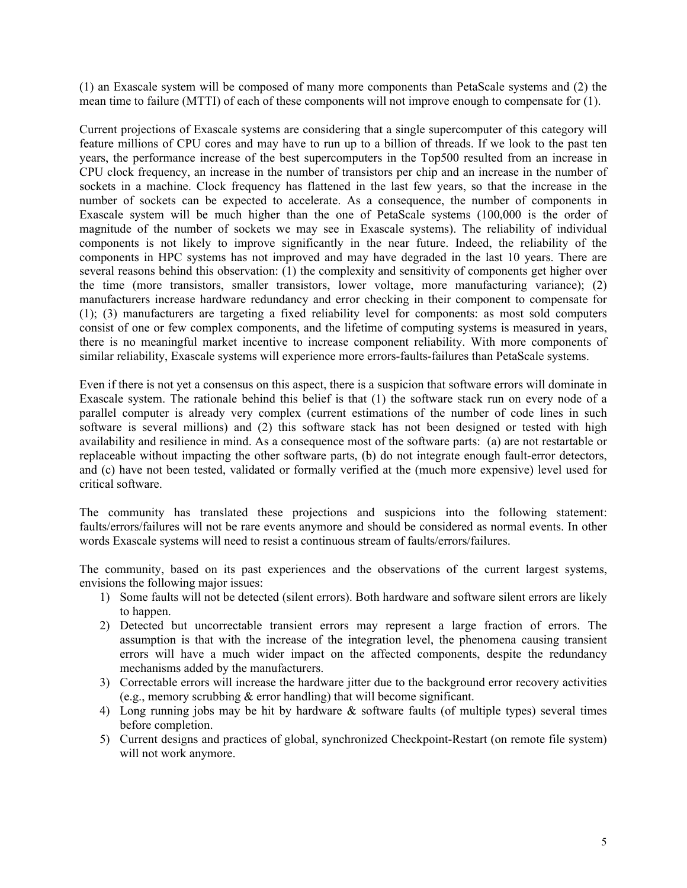(1) an Exascale system will be composed of many more components than PetaScale systems and (2) the mean time to failure (MTTI) of each of these components will not improve enough to compensate for (1).

Current projections of Exascale systems are considering that a single supercomputer of this category will feature millions of CPU cores and may have to run up to a billion of threads. If we look to the past ten years, the performance increase of the best supercomputers in the Top500 resulted from an increase in CPU clock frequency, an increase in the number of transistors per chip and an increase in the number of sockets in a machine. Clock frequency has flattened in the last few years, so that the increase in the number of sockets can be expected to accelerate. As a consequence, the number of components in Exascale system will be much higher than the one of PetaScale systems (100,000 is the order of magnitude of the number of sockets we may see in Exascale systems). The reliability of individual components is not likely to improve significantly in the near future. Indeed, the reliability of the components in HPC systems has not improved and may have degraded in the last 10 years. There are several reasons behind this observation: (1) the complexity and sensitivity of components get higher over the time (more transistors, smaller transistors, lower voltage, more manufacturing variance); (2) manufacturers increase hardware redundancy and error checking in their component to compensate for (1); (3) manufacturers are targeting a fixed reliability level for components: as most sold computers consist of one or few complex components, and the lifetime of computing systems is measured in years, there is no meaningful market incentive to increase component reliability. With more components of similar reliability, Exascale systems will experience more errors-faults-failures than PetaScale systems.

Even if there is not yet a consensus on this aspect, there is a suspicion that software errors will dominate in Exascale system. The rationale behind this belief is that (1) the software stack run on every node of a parallel computer is already very complex (current estimations of the number of code lines in such software is several millions) and (2) this software stack has not been designed or tested with high availability and resilience in mind. As a consequence most of the software parts: (a) are not restartable or replaceable without impacting the other software parts, (b) do not integrate enough fault-error detectors, and (c) have not been tested, validated or formally verified at the (much more expensive) level used for critical software.

The community has translated these projections and suspicions into the following statement: faults/errors/failures will not be rare events anymore and should be considered as normal events. In other words Exascale systems will need to resist a continuous stream of faults/errors/failures.

The community, based on its past experiences and the observations of the current largest systems, envisions the following major issues:

- 1) Some faults will not be detected (silent errors). Both hardware and software silent errors are likely to happen.
- 2) Detected but uncorrectable transient errors may represent a large fraction of errors. The assumption is that with the increase of the integration level, the phenomena causing transient errors will have a much wider impact on the affected components, despite the redundancy mechanisms added by the manufacturers.
- 3) Correctable errors will increase the hardware jitter due to the background error recovery activities (e.g., memory scrubbing & error handling) that will become significant.
- 4) Long running jobs may be hit by hardware & software faults (of multiple types) several times before completion.
- 5) Current designs and practices of global, synchronized Checkpoint-Restart (on remote file system) will not work anymore.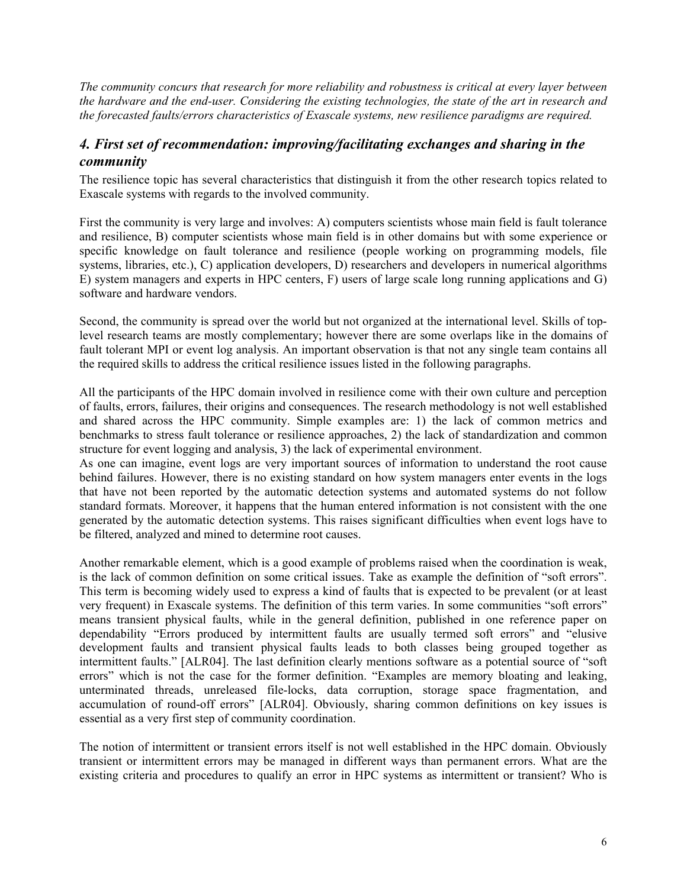*The community concurs that research for more reliability and robustness is critical at every layer between the hardware and the end-user. Considering the existing technologies, the state of the art in research and the forecasted faults/errors characteristics of Exascale systems, new resilience paradigms are required.*

## *4. First set of recommendation: improving/facilitating exchanges and sharing in the community*

The resilience topic has several characteristics that distinguish it from the other research topics related to Exascale systems with regards to the involved community.

First the community is very large and involves: A) computers scientists whose main field is fault tolerance and resilience, B) computer scientists whose main field is in other domains but with some experience or specific knowledge on fault tolerance and resilience (people working on programming models, file systems, libraries, etc.), C) application developers, D) researchers and developers in numerical algorithms E) system managers and experts in HPC centers, F) users of large scale long running applications and G) software and hardware vendors.

Second, the community is spread over the world but not organized at the international level. Skills of toplevel research teams are mostly complementary; however there are some overlaps like in the domains of fault tolerant MPI or event log analysis. An important observation is that not any single team contains all the required skills to address the critical resilience issues listed in the following paragraphs.

All the participants of the HPC domain involved in resilience come with their own culture and perception of faults, errors, failures, their origins and consequences. The research methodology is not well established and shared across the HPC community. Simple examples are: 1) the lack of common metrics and benchmarks to stress fault tolerance or resilience approaches, 2) the lack of standardization and common structure for event logging and analysis, 3) the lack of experimental environment.

As one can imagine, event logs are very important sources of information to understand the root cause behind failures. However, there is no existing standard on how system managers enter events in the logs that have not been reported by the automatic detection systems and automated systems do not follow standard formats. Moreover, it happens that the human entered information is not consistent with the one generated by the automatic detection systems. This raises significant difficulties when event logs have to be filtered, analyzed and mined to determine root causes.

Another remarkable element, which is a good example of problems raised when the coordination is weak, is the lack of common definition on some critical issues. Take as example the definition of "soft errors". This term is becoming widely used to express a kind of faults that is expected to be prevalent (or at least very frequent) in Exascale systems. The definition of this term varies. In some communities "soft errors" means transient physical faults, while in the general definition, published in one reference paper on dependability "Errors produced by intermittent faults are usually termed soft errors" and "elusive development faults and transient physical faults leads to both classes being grouped together as intermittent faults." [ALR04]. The last definition clearly mentions software as a potential source of "soft errors" which is not the case for the former definition. "Examples are memory bloating and leaking, unterminated threads, unreleased file-locks, data corruption, storage space fragmentation, and accumulation of round-off errors" [ALR04]. Obviously, sharing common definitions on key issues is essential as a very first step of community coordination.

The notion of intermittent or transient errors itself is not well established in the HPC domain. Obviously transient or intermittent errors may be managed in different ways than permanent errors. What are the existing criteria and procedures to qualify an error in HPC systems as intermittent or transient? Who is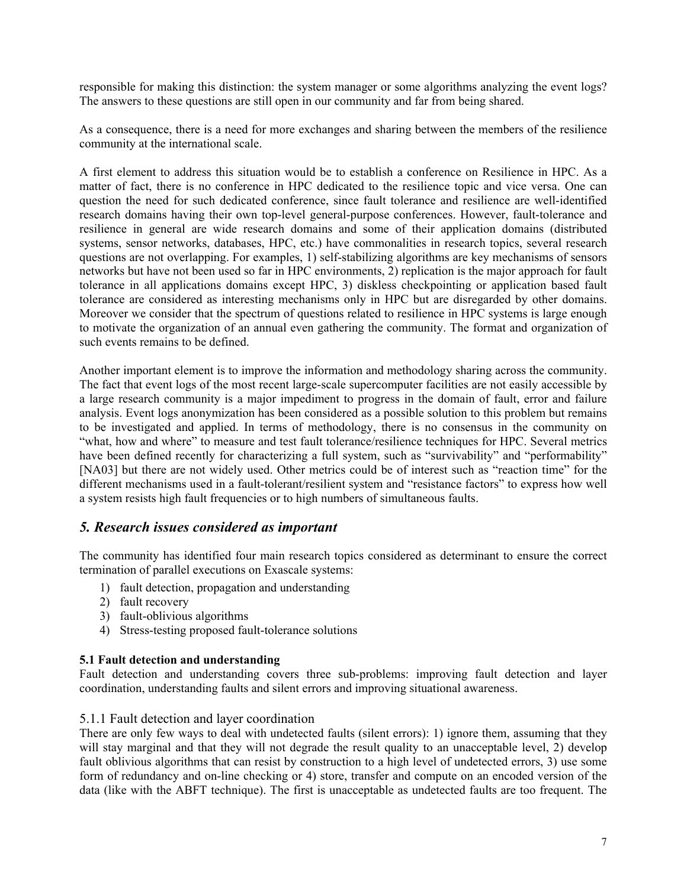responsible for making this distinction: the system manager or some algorithms analyzing the event logs? The answers to these questions are still open in our community and far from being shared.

As a consequence, there is a need for more exchanges and sharing between the members of the resilience community at the international scale.

A first element to address this situation would be to establish a conference on Resilience in HPC. As a matter of fact, there is no conference in HPC dedicated to the resilience topic and vice versa. One can question the need for such dedicated conference, since fault tolerance and resilience are well-identified research domains having their own top-level general-purpose conferences. However, fault-tolerance and resilience in general are wide research domains and some of their application domains (distributed systems, sensor networks, databases, HPC, etc.) have commonalities in research topics, several research questions are not overlapping. For examples, 1) self-stabilizing algorithms are key mechanisms of sensors networks but have not been used so far in HPC environments, 2) replication is the major approach for fault tolerance in all applications domains except HPC, 3) diskless checkpointing or application based fault tolerance are considered as interesting mechanisms only in HPC but are disregarded by other domains. Moreover we consider that the spectrum of questions related to resilience in HPC systems is large enough to motivate the organization of an annual even gathering the community. The format and organization of such events remains to be defined.

Another important element is to improve the information and methodology sharing across the community. The fact that event logs of the most recent large-scale supercomputer facilities are not easily accessible by a large research community is a major impediment to progress in the domain of fault, error and failure analysis. Event logs anonymization has been considered as a possible solution to this problem but remains to be investigated and applied. In terms of methodology, there is no consensus in the community on "what, how and where" to measure and test fault tolerance/resilience techniques for HPC. Several metrics have been defined recently for characterizing a full system, such as "survivability" and "performability" [NA03] but there are not widely used. Other metrics could be of interest such as "reaction time" for the different mechanisms used in a fault-tolerant/resilient system and "resistance factors" to express how well a system resists high fault frequencies or to high numbers of simultaneous faults.

### *5. Research issues considered as important*

The community has identified four main research topics considered as determinant to ensure the correct termination of parallel executions on Exascale systems:

- 1) fault detection, propagation and understanding
- 2) fault recovery
- 3) fault-oblivious algorithms
- 4) Stress-testing proposed fault-tolerance solutions

#### **5.1 Fault detection and understanding**

Fault detection and understanding covers three sub-problems: improving fault detection and layer coordination, understanding faults and silent errors and improving situational awareness.

#### 5.1.1 Fault detection and layer coordination

There are only few ways to deal with undetected faults (silent errors): 1) ignore them, assuming that they will stay marginal and that they will not degrade the result quality to an unacceptable level, 2) develop fault oblivious algorithms that can resist by construction to a high level of undetected errors, 3) use some form of redundancy and on-line checking or 4) store, transfer and compute on an encoded version of the data (like with the ABFT technique). The first is unacceptable as undetected faults are too frequent. The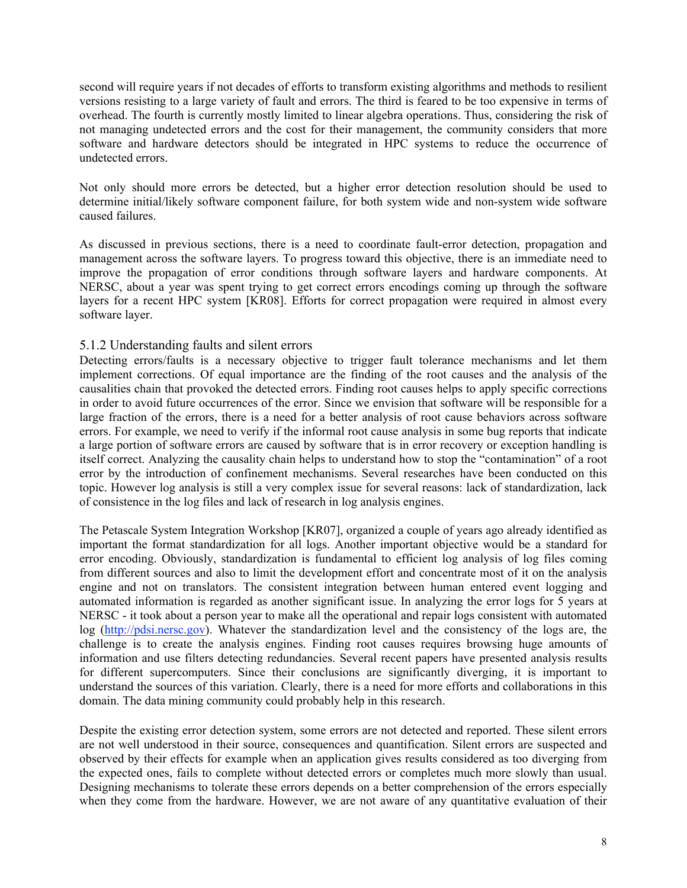second will require years if not decades of efforts to transform existing algorithms and methods to resilient versions resisting to a large variety of fault and errors. The third is feared to be too expensive in terms of overhead. The fourth is currently mostly limited to linear algebra operations. Thus, considering the risk of not managing undetected errors and the cost for their management, the community considers that more software and hardware detectors should be integrated in HPC systems to reduce the occurrence of undetected errors.

Not only should more errors be detected, but a higher error detection resolution should be used to determine initial/likely software component failure, for both system wide and non-system wide software caused failures.

As discussed in previous sections, there is a need to coordinate fault-error detection, propagation and management across the software layers. To progress toward this objective, there is an immediate need to improve the propagation of error conditions through software layers and hardware components. At NERSC, about a year was spent trying to get correct errors encodings coming up through the software layers for a recent HPC system [KR08]. Efforts for correct propagation were required in almost every software layer.

#### 5.1.2 Understanding faults and silent errors

Detecting errors/faults is a necessary objective to trigger fault tolerance mechanisms and let them implement corrections. Of equal importance are the finding of the root causes and the analysis of the causalities chain that provoked the detected errors. Finding root causes helps to apply specific corrections in order to avoid future occurrences of the error. Since we envision that software will be responsible for a large fraction of the errors, there is a need for a better analysis of root cause behaviors across software errors. For example, we need to verify if the informal root cause analysis in some bug reports that indicate a large portion of software errors are caused by software that is in error recovery or exception handling is itself correct. Analyzing the causality chain helps to understand how to stop the "contamination" of a root error by the introduction of confinement mechanisms. Several researches have been conducted on this topic. However log analysis is still a very complex issue for several reasons: lack of standardization, lack of consistence in the log files and lack of research in log analysis engines.

The Petascale System Integration Workshop [KR07], organized a couple of years ago already identified as important the format standardization for all logs. Another important objective would be a standard for error encoding. Obviously, standardization is fundamental to efficient log analysis of log files coming from different sources and also to limit the development effort and concentrate most of it on the analysis engine and not on translators. The consistent integration between human entered event logging and automated information is regarded as another significant issue. In analyzing the error logs for 5 years at NERSC - it took about a person year to make all the operational and repair logs consistent with automated log (http://pdsi.nersc.gov). Whatever the standardization level and the consistency of the logs are, the challenge is to create the analysis engines. Finding root causes requires browsing huge amounts of information and use filters detecting redundancies. Several recent papers have presented analysis results for different supercomputers. Since their conclusions are significantly diverging, it is important to understand the sources of this variation. Clearly, there is a need for more efforts and collaborations in this domain. The data mining community could probably help in this research.

Despite the existing error detection system, some errors are not detected and reported. These silent errors are not well understood in their source, consequences and quantification. Silent errors are suspected and observed by their effects for example when an application gives results considered as too diverging from the expected ones, fails to complete without detected errors or completes much more slowly than usual. Designing mechanisms to tolerate these errors depends on a better comprehension of the errors especially when they come from the hardware. However, we are not aware of any quantitative evaluation of their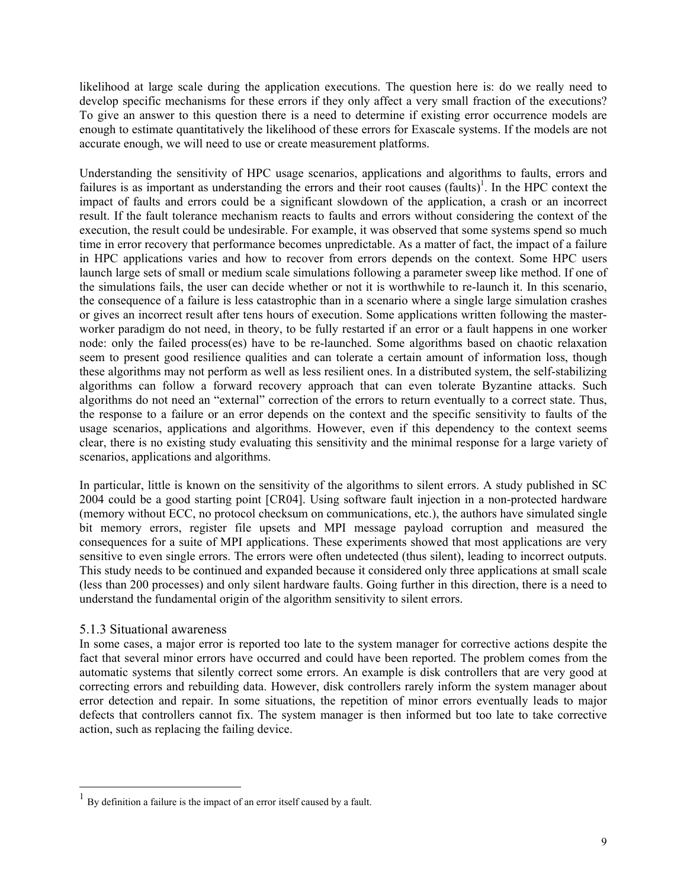likelihood at large scale during the application executions. The question here is: do we really need to develop specific mechanisms for these errors if they only affect a very small fraction of the executions? To give an answer to this question there is a need to determine if existing error occurrence models are enough to estimate quantitatively the likelihood of these errors for Exascale systems. If the models are not accurate enough, we will need to use or create measurement platforms.

Understanding the sensitivity of HPC usage scenarios, applications and algorithms to faults, errors and failures is as important as understanding the errors and their root causes (faults)<sup>1</sup>. In the HPC context the impact of faults and errors could be a significant slowdown of the application, a crash or an incorrect result. If the fault tolerance mechanism reacts to faults and errors without considering the context of the execution, the result could be undesirable. For example, it was observed that some systems spend so much time in error recovery that performance becomes unpredictable. As a matter of fact, the impact of a failure in HPC applications varies and how to recover from errors depends on the context. Some HPC users launch large sets of small or medium scale simulations following a parameter sweep like method. If one of the simulations fails, the user can decide whether or not it is worthwhile to re-launch it. In this scenario, the consequence of a failure is less catastrophic than in a scenario where a single large simulation crashes or gives an incorrect result after tens hours of execution. Some applications written following the masterworker paradigm do not need, in theory, to be fully restarted if an error or a fault happens in one worker node: only the failed process(es) have to be re-launched. Some algorithms based on chaotic relaxation seem to present good resilience qualities and can tolerate a certain amount of information loss, though these algorithms may not perform as well as less resilient ones. In a distributed system, the self-stabilizing algorithms can follow a forward recovery approach that can even tolerate Byzantine attacks. Such algorithms do not need an "external" correction of the errors to return eventually to a correct state. Thus, the response to a failure or an error depends on the context and the specific sensitivity to faults of the usage scenarios, applications and algorithms. However, even if this dependency to the context seems clear, there is no existing study evaluating this sensitivity and the minimal response for a large variety of scenarios, applications and algorithms.

In particular, little is known on the sensitivity of the algorithms to silent errors. A study published in SC 2004 could be a good starting point [CR04]. Using software fault injection in a non-protected hardware (memory without ECC, no protocol checksum on communications, etc.), the authors have simulated single bit memory errors, register file upsets and MPI message payload corruption and measured the consequences for a suite of MPI applications. These experiments showed that most applications are very sensitive to even single errors. The errors were often undetected (thus silent), leading to incorrect outputs. This study needs to be continued and expanded because it considered only three applications at small scale (less than 200 processes) and only silent hardware faults. Going further in this direction, there is a need to understand the fundamental origin of the algorithm sensitivity to silent errors.

#### 5.1.3 Situational awareness

In some cases, a major error is reported too late to the system manager for corrective actions despite the fact that several minor errors have occurred and could have been reported. The problem comes from the automatic systems that silently correct some errors. An example is disk controllers that are very good at correcting errors and rebuilding data. However, disk controllers rarely inform the system manager about error detection and repair. In some situations, the repetition of minor errors eventually leads to major defects that controllers cannot fix. The system manager is then informed but too late to take corrective action, such as replacing the failing device.

 $<sup>1</sup>$  By definition a failure is the impact of an error itself caused by a fault.</sup>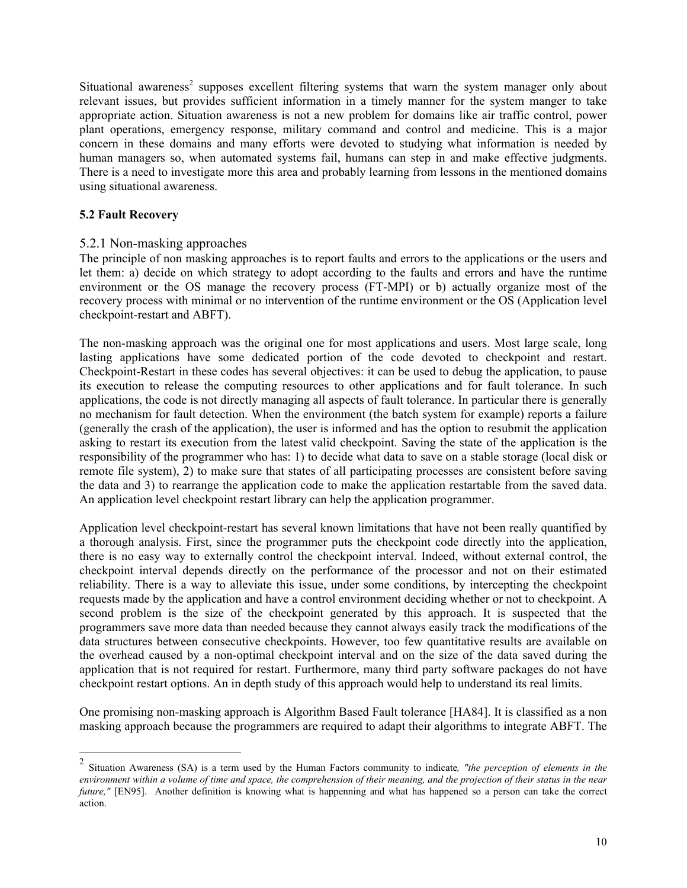Situational awareness<sup>2</sup> supposes excellent filtering systems that warn the system manager only about relevant issues, but provides sufficient information in a timely manner for the system manger to take appropriate action. Situation awareness is not a new problem for domains like air traffic control, power plant operations, emergency response, military command and control and medicine. This is a major concern in these domains and many efforts were devoted to studying what information is needed by human managers so, when automated systems fail, humans can step in and make effective judgments. There is a need to investigate more this area and probably learning from lessons in the mentioned domains using situational awareness.

#### **5.2 Fault Recovery**

#### 5.2.1 Non-masking approaches

The principle of non masking approaches is to report faults and errors to the applications or the users and let them: a) decide on which strategy to adopt according to the faults and errors and have the runtime environment or the OS manage the recovery process (FT-MPI) or b) actually organize most of the recovery process with minimal or no intervention of the runtime environment or the OS (Application level checkpoint-restart and ABFT).

The non-masking approach was the original one for most applications and users. Most large scale, long lasting applications have some dedicated portion of the code devoted to checkpoint and restart. Checkpoint-Restart in these codes has several objectives: it can be used to debug the application, to pause its execution to release the computing resources to other applications and for fault tolerance. In such applications, the code is not directly managing all aspects of fault tolerance. In particular there is generally no mechanism for fault detection. When the environment (the batch system for example) reports a failure (generally the crash of the application), the user is informed and has the option to resubmit the application asking to restart its execution from the latest valid checkpoint. Saving the state of the application is the responsibility of the programmer who has: 1) to decide what data to save on a stable storage (local disk or remote file system), 2) to make sure that states of all participating processes are consistent before saving the data and 3) to rearrange the application code to make the application restartable from the saved data. An application level checkpoint restart library can help the application programmer.

Application level checkpoint-restart has several known limitations that have not been really quantified by a thorough analysis. First, since the programmer puts the checkpoint code directly into the application, there is no easy way to externally control the checkpoint interval. Indeed, without external control, the checkpoint interval depends directly on the performance of the processor and not on their estimated reliability. There is a way to alleviate this issue, under some conditions, by intercepting the checkpoint requests made by the application and have a control environment deciding whether or not to checkpoint. A second problem is the size of the checkpoint generated by this approach. It is suspected that the programmers save more data than needed because they cannot always easily track the modifications of the data structures between consecutive checkpoints. However, too few quantitative results are available on the overhead caused by a non-optimal checkpoint interval and on the size of the data saved during the application that is not required for restart. Furthermore, many third party software packages do not have checkpoint restart options. An in depth study of this approach would help to understand its real limits.

One promising non-masking approach is Algorithm Based Fault tolerance [HA84]. It is classified as a non masking approach because the programmers are required to adapt their algorithms to integrate ABFT. The

 <sup>2</sup> Situation Awareness (SA) is a term used by the Human Factors community to indicate*, "the perception of elements in the environment within a volume of time and space, the comprehension of their meaning, and the projection of their status in the near future*," [EN95]. Another definition is knowing what is happenning and what has happened so a person can take the correct action.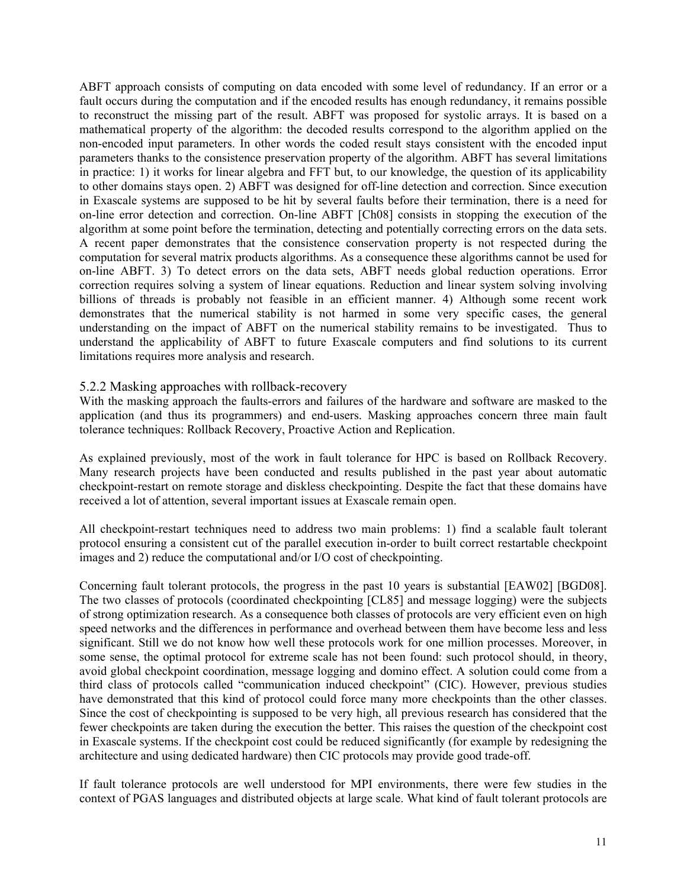ABFT approach consists of computing on data encoded with some level of redundancy. If an error or a fault occurs during the computation and if the encoded results has enough redundancy, it remains possible to reconstruct the missing part of the result. ABFT was proposed for systolic arrays. It is based on a mathematical property of the algorithm: the decoded results correspond to the algorithm applied on the non-encoded input parameters. In other words the coded result stays consistent with the encoded input parameters thanks to the consistence preservation property of the algorithm. ABFT has several limitations in practice: 1) it works for linear algebra and FFT but, to our knowledge, the question of its applicability to other domains stays open. 2) ABFT was designed for off-line detection and correction. Since execution in Exascale systems are supposed to be hit by several faults before their termination, there is a need for on-line error detection and correction. On-line ABFT [Ch08] consists in stopping the execution of the algorithm at some point before the termination, detecting and potentially correcting errors on the data sets. A recent paper demonstrates that the consistence conservation property is not respected during the computation for several matrix products algorithms. As a consequence these algorithms cannot be used for on-line ABFT. 3) To detect errors on the data sets, ABFT needs global reduction operations. Error correction requires solving a system of linear equations. Reduction and linear system solving involving billions of threads is probably not feasible in an efficient manner. 4) Although some recent work demonstrates that the numerical stability is not harmed in some very specific cases, the general understanding on the impact of ABFT on the numerical stability remains to be investigated. Thus to understand the applicability of ABFT to future Exascale computers and find solutions to its current limitations requires more analysis and research.

#### 5.2.2 Masking approaches with rollback-recovery

With the masking approach the faults-errors and failures of the hardware and software are masked to the application (and thus its programmers) and end-users. Masking approaches concern three main fault tolerance techniques: Rollback Recovery, Proactive Action and Replication.

As explained previously, most of the work in fault tolerance for HPC is based on Rollback Recovery. Many research projects have been conducted and results published in the past year about automatic checkpoint-restart on remote storage and diskless checkpointing. Despite the fact that these domains have received a lot of attention, several important issues at Exascale remain open.

All checkpoint-restart techniques need to address two main problems: 1) find a scalable fault tolerant protocol ensuring a consistent cut of the parallel execution in-order to built correct restartable checkpoint images and 2) reduce the computational and/or I/O cost of checkpointing.

Concerning fault tolerant protocols, the progress in the past 10 years is substantial [EAW02] [BGD08]. The two classes of protocols (coordinated checkpointing [CL85] and message logging) were the subjects of strong optimization research. As a consequence both classes of protocols are very efficient even on high speed networks and the differences in performance and overhead between them have become less and less significant. Still we do not know how well these protocols work for one million processes. Moreover, in some sense, the optimal protocol for extreme scale has not been found: such protocol should, in theory, avoid global checkpoint coordination, message logging and domino effect. A solution could come from a third class of protocols called "communication induced checkpoint" (CIC). However, previous studies have demonstrated that this kind of protocol could force many more checkpoints than the other classes. Since the cost of checkpointing is supposed to be very high, all previous research has considered that the fewer checkpoints are taken during the execution the better. This raises the question of the checkpoint cost in Exascale systems. If the checkpoint cost could be reduced significantly (for example by redesigning the architecture and using dedicated hardware) then CIC protocols may provide good trade-off.

If fault tolerance protocols are well understood for MPI environments, there were few studies in the context of PGAS languages and distributed objects at large scale. What kind of fault tolerant protocols are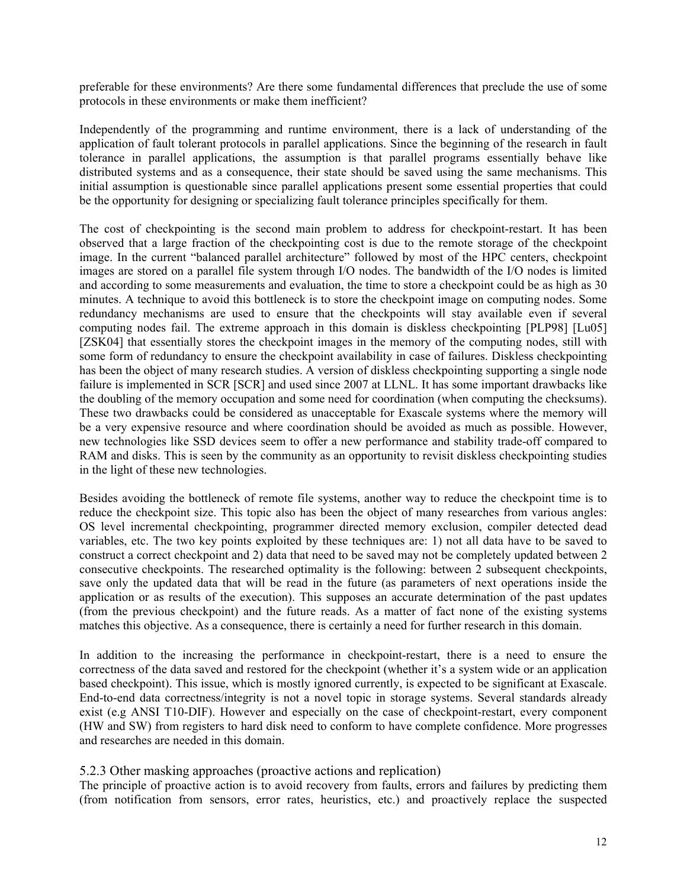preferable for these environments? Are there some fundamental differences that preclude the use of some protocols in these environments or make them inefficient?

Independently of the programming and runtime environment, there is a lack of understanding of the application of fault tolerant protocols in parallel applications. Since the beginning of the research in fault tolerance in parallel applications, the assumption is that parallel programs essentially behave like distributed systems and as a consequence, their state should be saved using the same mechanisms. This initial assumption is questionable since parallel applications present some essential properties that could be the opportunity for designing or specializing fault tolerance principles specifically for them.

The cost of checkpointing is the second main problem to address for checkpoint-restart. It has been observed that a large fraction of the checkpointing cost is due to the remote storage of the checkpoint image. In the current "balanced parallel architecture" followed by most of the HPC centers, checkpoint images are stored on a parallel file system through I/O nodes. The bandwidth of the I/O nodes is limited and according to some measurements and evaluation, the time to store a checkpoint could be as high as 30 minutes. A technique to avoid this bottleneck is to store the checkpoint image on computing nodes. Some redundancy mechanisms are used to ensure that the checkpoints will stay available even if several computing nodes fail. The extreme approach in this domain is diskless checkpointing [PLP98] [Lu05] [ZSK04] that essentially stores the checkpoint images in the memory of the computing nodes, still with some form of redundancy to ensure the checkpoint availability in case of failures. Diskless checkpointing has been the object of many research studies. A version of diskless checkpointing supporting a single node failure is implemented in SCR [SCR] and used since 2007 at LLNL. It has some important drawbacks like the doubling of the memory occupation and some need for coordination (when computing the checksums). These two drawbacks could be considered as unacceptable for Exascale systems where the memory will be a very expensive resource and where coordination should be avoided as much as possible. However, new technologies like SSD devices seem to offer a new performance and stability trade-off compared to RAM and disks. This is seen by the community as an opportunity to revisit diskless checkpointing studies in the light of these new technologies.

Besides avoiding the bottleneck of remote file systems, another way to reduce the checkpoint time is to reduce the checkpoint size. This topic also has been the object of many researches from various angles: OS level incremental checkpointing, programmer directed memory exclusion, compiler detected dead variables, etc. The two key points exploited by these techniques are: 1) not all data have to be saved to construct a correct checkpoint and 2) data that need to be saved may not be completely updated between 2 consecutive checkpoints. The researched optimality is the following: between 2 subsequent checkpoints, save only the updated data that will be read in the future (as parameters of next operations inside the application or as results of the execution). This supposes an accurate determination of the past updates (from the previous checkpoint) and the future reads. As a matter of fact none of the existing systems matches this objective. As a consequence, there is certainly a need for further research in this domain.

In addition to the increasing the performance in checkpoint-restart, there is a need to ensure the correctness of the data saved and restored for the checkpoint (whether it's a system wide or an application based checkpoint). This issue, which is mostly ignored currently, is expected to be significant at Exascale. End-to-end data correctness/integrity is not a novel topic in storage systems. Several standards already exist (e.g ANSI T10-DIF). However and especially on the case of checkpoint-restart, every component (HW and SW) from registers to hard disk need to conform to have complete confidence. More progresses and researches are needed in this domain.

#### 5.2.3 Other masking approaches (proactive actions and replication)

The principle of proactive action is to avoid recovery from faults, errors and failures by predicting them (from notification from sensors, error rates, heuristics, etc.) and proactively replace the suspected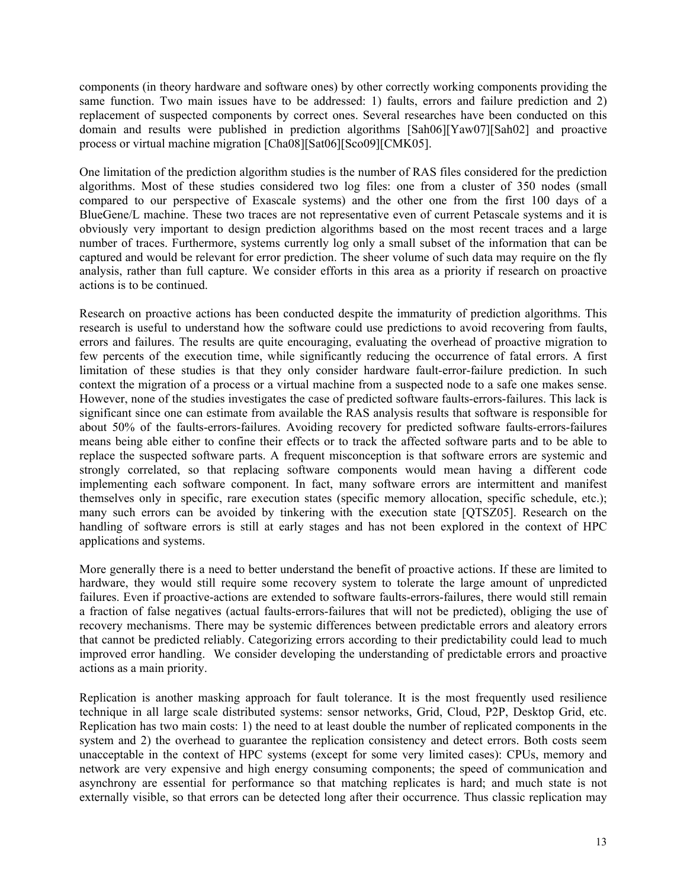components (in theory hardware and software ones) by other correctly working components providing the same function. Two main issues have to be addressed: 1) faults, errors and failure prediction and 2) replacement of suspected components by correct ones. Several researches have been conducted on this domain and results were published in prediction algorithms [Sah06][Yaw07][Sah02] and proactive process or virtual machine migration [Cha08][Sat06][Sco09][CMK05].

One limitation of the prediction algorithm studies is the number of RAS files considered for the prediction algorithms. Most of these studies considered two log files: one from a cluster of 350 nodes (small compared to our perspective of Exascale systems) and the other one from the first 100 days of a BlueGene/L machine. These two traces are not representative even of current Petascale systems and it is obviously very important to design prediction algorithms based on the most recent traces and a large number of traces. Furthermore, systems currently log only a small subset of the information that can be captured and would be relevant for error prediction. The sheer volume of such data may require on the fly analysis, rather than full capture. We consider efforts in this area as a priority if research on proactive actions is to be continued.

Research on proactive actions has been conducted despite the immaturity of prediction algorithms. This research is useful to understand how the software could use predictions to avoid recovering from faults, errors and failures. The results are quite encouraging, evaluating the overhead of proactive migration to few percents of the execution time, while significantly reducing the occurrence of fatal errors. A first limitation of these studies is that they only consider hardware fault-error-failure prediction. In such context the migration of a process or a virtual machine from a suspected node to a safe one makes sense. However, none of the studies investigates the case of predicted software faults-errors-failures. This lack is significant since one can estimate from available the RAS analysis results that software is responsible for about 50% of the faults-errors-failures. Avoiding recovery for predicted software faults-errors-failures means being able either to confine their effects or to track the affected software parts and to be able to replace the suspected software parts. A frequent misconception is that software errors are systemic and strongly correlated, so that replacing software components would mean having a different code implementing each software component. In fact, many software errors are intermittent and manifest themselves only in specific, rare execution states (specific memory allocation, specific schedule, etc.); many such errors can be avoided by tinkering with the execution state [QTSZ05]. Research on the handling of software errors is still at early stages and has not been explored in the context of HPC applications and systems.

More generally there is a need to better understand the benefit of proactive actions. If these are limited to hardware, they would still require some recovery system to tolerate the large amount of unpredicted failures. Even if proactive-actions are extended to software faults-errors-failures, there would still remain a fraction of false negatives (actual faults-errors-failures that will not be predicted), obliging the use of recovery mechanisms. There may be systemic differences between predictable errors and aleatory errors that cannot be predicted reliably. Categorizing errors according to their predictability could lead to much improved error handling. We consider developing the understanding of predictable errors and proactive actions as a main priority.

Replication is another masking approach for fault tolerance. It is the most frequently used resilience technique in all large scale distributed systems: sensor networks, Grid, Cloud, P2P, Desktop Grid, etc. Replication has two main costs: 1) the need to at least double the number of replicated components in the system and 2) the overhead to guarantee the replication consistency and detect errors. Both costs seem unacceptable in the context of HPC systems (except for some very limited cases): CPUs, memory and network are very expensive and high energy consuming components; the speed of communication and asynchrony are essential for performance so that matching replicates is hard; and much state is not externally visible, so that errors can be detected long after their occurrence. Thus classic replication may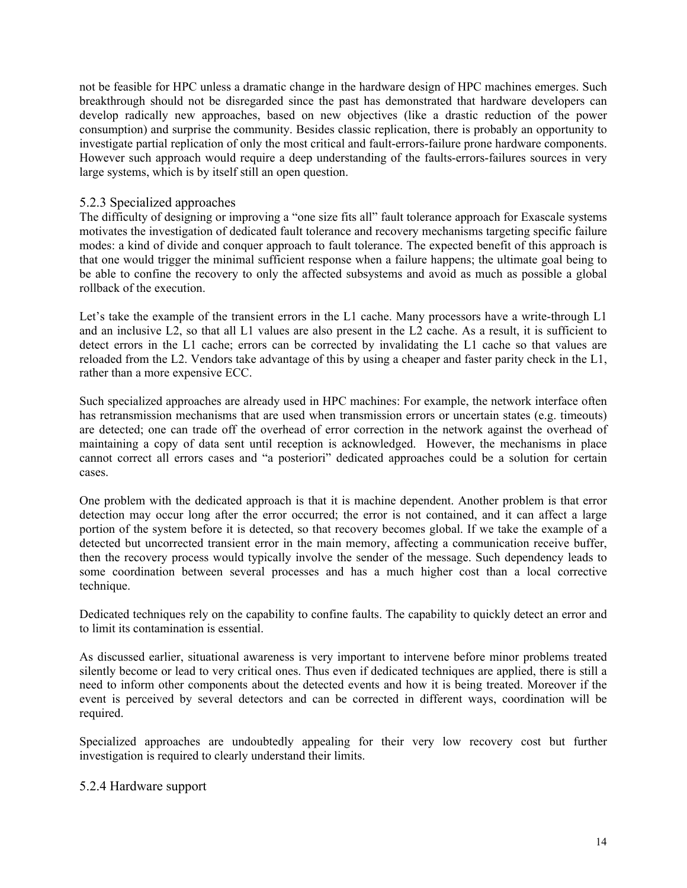not be feasible for HPC unless a dramatic change in the hardware design of HPC machines emerges. Such breakthrough should not be disregarded since the past has demonstrated that hardware developers can develop radically new approaches, based on new objectives (like a drastic reduction of the power consumption) and surprise the community. Besides classic replication, there is probably an opportunity to investigate partial replication of only the most critical and fault-errors-failure prone hardware components. However such approach would require a deep understanding of the faults-errors-failures sources in very large systems, which is by itself still an open question.

#### 5.2.3 Specialized approaches

The difficulty of designing or improving a "one size fits all" fault tolerance approach for Exascale systems motivates the investigation of dedicated fault tolerance and recovery mechanisms targeting specific failure modes: a kind of divide and conquer approach to fault tolerance. The expected benefit of this approach is that one would trigger the minimal sufficient response when a failure happens; the ultimate goal being to be able to confine the recovery to only the affected subsystems and avoid as much as possible a global rollback of the execution.

Let's take the example of the transient errors in the L1 cache. Many processors have a write-through L1 and an inclusive L2, so that all L1 values are also present in the L2 cache. As a result, it is sufficient to detect errors in the L1 cache; errors can be corrected by invalidating the L1 cache so that values are reloaded from the L2. Vendors take advantage of this by using a cheaper and faster parity check in the L1, rather than a more expensive ECC.

Such specialized approaches are already used in HPC machines: For example, the network interface often has retransmission mechanisms that are used when transmission errors or uncertain states (e.g. timeouts) are detected; one can trade off the overhead of error correction in the network against the overhead of maintaining a copy of data sent until reception is acknowledged. However, the mechanisms in place cannot correct all errors cases and "a posteriori" dedicated approaches could be a solution for certain cases.

One problem with the dedicated approach is that it is machine dependent. Another problem is that error detection may occur long after the error occurred; the error is not contained, and it can affect a large portion of the system before it is detected, so that recovery becomes global. If we take the example of a detected but uncorrected transient error in the main memory, affecting a communication receive buffer, then the recovery process would typically involve the sender of the message. Such dependency leads to some coordination between several processes and has a much higher cost than a local corrective technique.

Dedicated techniques rely on the capability to confine faults. The capability to quickly detect an error and to limit its contamination is essential.

As discussed earlier, situational awareness is very important to intervene before minor problems treated silently become or lead to very critical ones. Thus even if dedicated techniques are applied, there is still a need to inform other components about the detected events and how it is being treated. Moreover if the event is perceived by several detectors and can be corrected in different ways, coordination will be required.

Specialized approaches are undoubtedly appealing for their very low recovery cost but further investigation is required to clearly understand their limits.

#### 5.2.4 Hardware support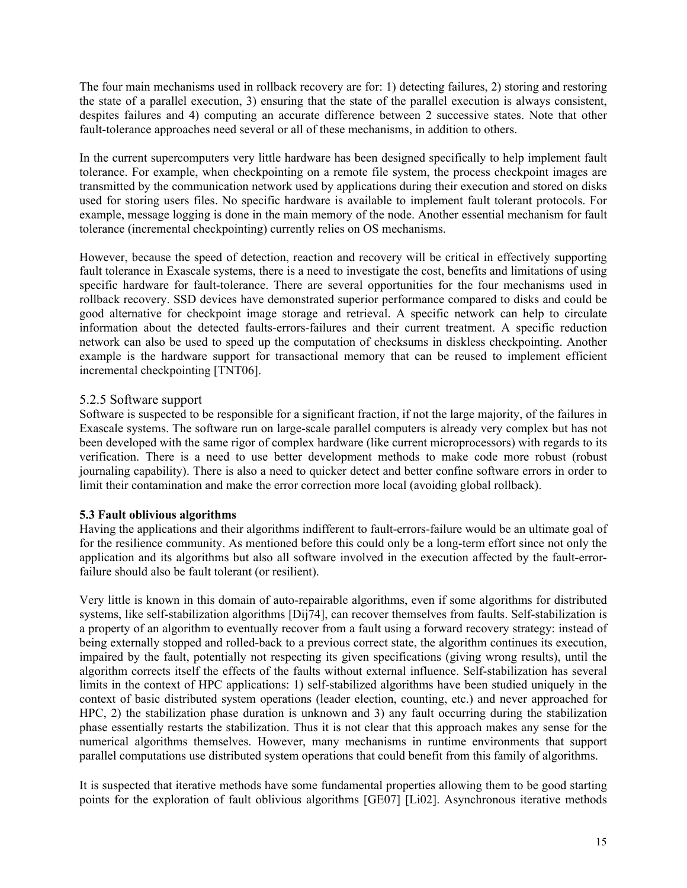The four main mechanisms used in rollback recovery are for: 1) detecting failures, 2) storing and restoring the state of a parallel execution, 3) ensuring that the state of the parallel execution is always consistent, despites failures and 4) computing an accurate difference between 2 successive states. Note that other fault-tolerance approaches need several or all of these mechanisms, in addition to others.

In the current supercomputers very little hardware has been designed specifically to help implement fault tolerance. For example, when checkpointing on a remote file system, the process checkpoint images are transmitted by the communication network used by applications during their execution and stored on disks used for storing users files. No specific hardware is available to implement fault tolerant protocols. For example, message logging is done in the main memory of the node. Another essential mechanism for fault tolerance (incremental checkpointing) currently relies on OS mechanisms.

However, because the speed of detection, reaction and recovery will be critical in effectively supporting fault tolerance in Exascale systems, there is a need to investigate the cost, benefits and limitations of using specific hardware for fault-tolerance. There are several opportunities for the four mechanisms used in rollback recovery. SSD devices have demonstrated superior performance compared to disks and could be good alternative for checkpoint image storage and retrieval. A specific network can help to circulate information about the detected faults-errors-failures and their current treatment. A specific reduction network can also be used to speed up the computation of checksums in diskless checkpointing. Another example is the hardware support for transactional memory that can be reused to implement efficient incremental checkpointing [TNT06].

### 5.2.5 Software support

Software is suspected to be responsible for a significant fraction, if not the large majority, of the failures in Exascale systems. The software run on large-scale parallel computers is already very complex but has not been developed with the same rigor of complex hardware (like current microprocessors) with regards to its verification. There is a need to use better development methods to make code more robust (robust journaling capability). There is also a need to quicker detect and better confine software errors in order to limit their contamination and make the error correction more local (avoiding global rollback).

#### **5.3 Fault oblivious algorithms**

Having the applications and their algorithms indifferent to fault-errors-failure would be an ultimate goal of for the resilience community. As mentioned before this could only be a long-term effort since not only the application and its algorithms but also all software involved in the execution affected by the fault-errorfailure should also be fault tolerant (or resilient).

Very little is known in this domain of auto-repairable algorithms, even if some algorithms for distributed systems, like self-stabilization algorithms [Dij74], can recover themselves from faults. Self-stabilization is a property of an algorithm to eventually recover from a fault using a forward recovery strategy: instead of being externally stopped and rolled-back to a previous correct state, the algorithm continues its execution, impaired by the fault, potentially not respecting its given specifications (giving wrong results), until the algorithm corrects itself the effects of the faults without external influence. Self-stabilization has several limits in the context of HPC applications: 1) self-stabilized algorithms have been studied uniquely in the context of basic distributed system operations (leader election, counting, etc.) and never approached for HPC, 2) the stabilization phase duration is unknown and 3) any fault occurring during the stabilization phase essentially restarts the stabilization. Thus it is not clear that this approach makes any sense for the numerical algorithms themselves. However, many mechanisms in runtime environments that support parallel computations use distributed system operations that could benefit from this family of algorithms.

It is suspected that iterative methods have some fundamental properties allowing them to be good starting points for the exploration of fault oblivious algorithms [GE07] [Li02]. Asynchronous iterative methods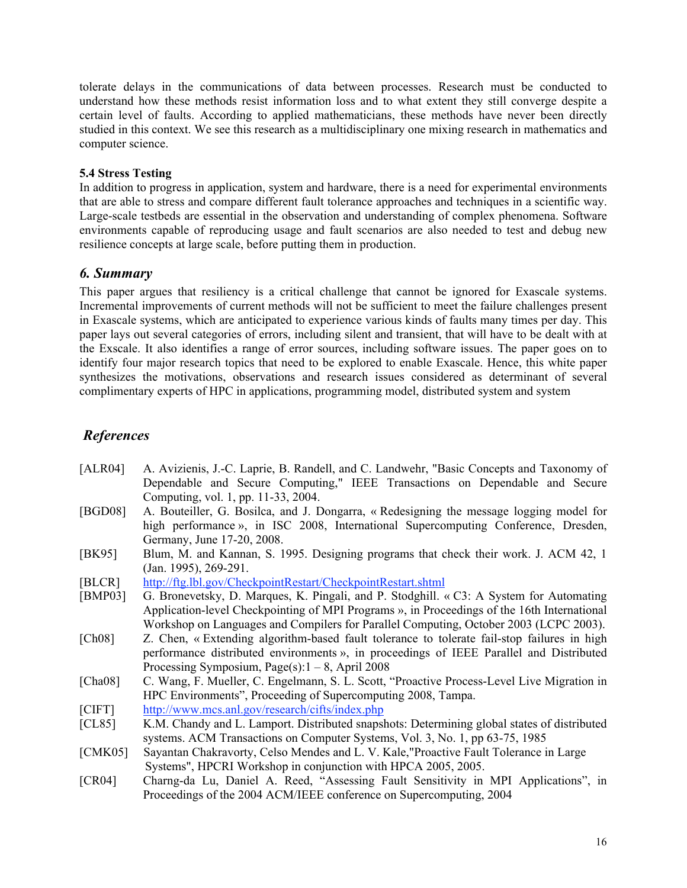tolerate delays in the communications of data between processes. Research must be conducted to understand how these methods resist information loss and to what extent they still converge despite a certain level of faults. According to applied mathematicians, these methods have never been directly studied in this context. We see this research as a multidisciplinary one mixing research in mathematics and computer science.

#### **5.4 Stress Testing**

In addition to progress in application, system and hardware, there is a need for experimental environments that are able to stress and compare different fault tolerance approaches and techniques in a scientific way. Large-scale testbeds are essential in the observation and understanding of complex phenomena. Software environments capable of reproducing usage and fault scenarios are also needed to test and debug new resilience concepts at large scale, before putting them in production.

### *6. Summary*

This paper argues that resiliency is a critical challenge that cannot be ignored for Exascale systems. Incremental improvements of current methods will not be sufficient to meet the failure challenges present in Exascale systems, which are anticipated to experience various kinds of faults many times per day. This paper lays out several categories of errors, including silent and transient, that will have to be dealt with at the Exscale. It also identifies a range of error sources, including software issues. The paper goes on to identify four major research topics that need to be explored to enable Exascale. Hence, this white paper synthesizes the motivations, observations and research issues considered as determinant of several complimentary experts of HPC in applications, programming model, distributed system and system

# *References*

- [ALR04] A. Avizienis, J.-C. Laprie, B. Randell, and C. Landwehr, "Basic Concepts and Taxonomy of Dependable and Secure Computing," IEEE Transactions on Dependable and Secure Computing, vol. 1, pp. 11-33, 2004.
- [BGD08] A. Bouteiller, G. Bosilca, and J. Dongarra, « Redesigning the message logging model for high performance », in ISC 2008, International Supercomputing Conference, Dresden, Germany, June 17-20, 2008.
- [BK95] Blum, M. and Kannan, S. 1995. Designing programs that check their work. J. ACM 42, 1 (Jan. 1995), 269-291.
- [BLCR] http://ftg.lbl.gov/CheckpointRestart/CheckpointRestart.shtml
- [BMP03] G. Bronevetsky, D. Marques, K. Pingali, and P. Stodghill. « C3: A System for Automating Application-level Checkpointing of MPI Programs », in Proceedings of the 16th International Workshop on Languages and Compilers for Parallel Computing, October 2003 (LCPC 2003).
- [Ch08] Z. Chen, « Extending algorithm-based fault tolerance to tolerate fail-stop failures in high performance distributed environments », in proceedings of IEEE Parallel and Distributed Processing Symposium, Page(s): $1 - 8$ , April 2008
- [Cha08] C. Wang, F. Mueller, C. Engelmann, S. L. Scott, "Proactive Process-Level Live Migration in HPC Environments", Proceeding of Supercomputing 2008, Tampa.
- [CIFT] http://www.mcs.anl.gov/research/cifts/index.php
- [CL85] K.M. Chandy and L. Lamport. Distributed snapshots: Determining global states of distributed systems. ACM Transactions on Computer Systems, Vol. 3, No. 1, pp 63-75, 1985
- [CMK05] Sayantan Chakravorty, Celso Mendes and L. V. Kale,"Proactive Fault Tolerance in Large Systems", HPCRI Workshop in conjunction with HPCA 2005, 2005.
- [CR04] Charng-da Lu, Daniel A. Reed, "Assessing Fault Sensitivity in MPI Applications", in Proceedings of the 2004 ACM/IEEE conference on Supercomputing, 2004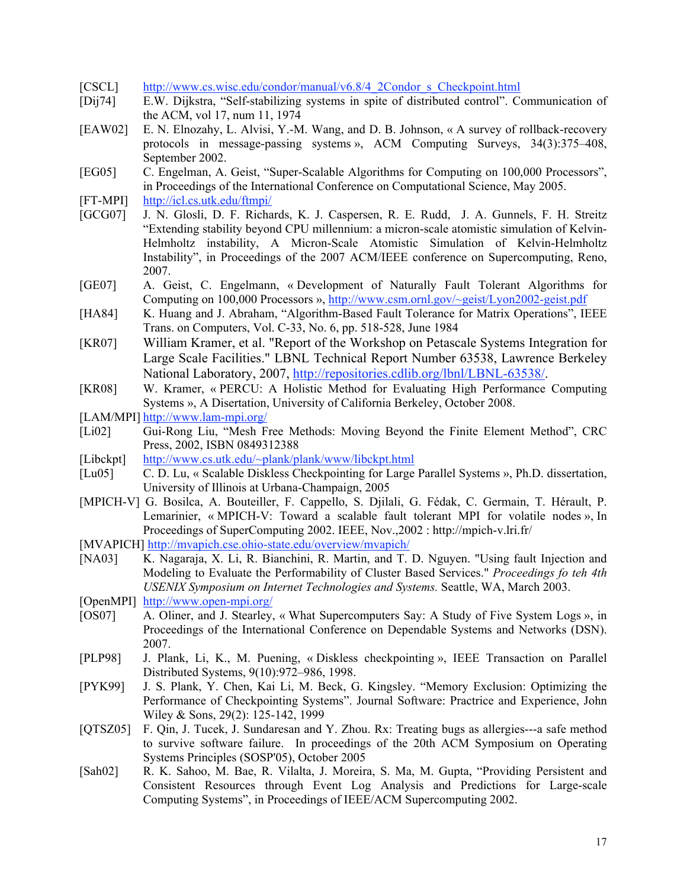- [CSCL] http://www.cs.wisc.edu/condor/manual/v6.8/4\_2Condor\_s\_Checkpoint.html
- [Dij74] E.W. Dijkstra, "Self-stabilizing systems in spite of distributed control". Communication of the ACM, vol 17, num 11, 1974
- [EAW02] E. N. Elnozahy, L. Alvisi, Y.-M. Wang, and D. B. Johnson, « A survey of rollback-recovery protocols in message-passing systems », ACM Computing Surveys, 34(3):375–408, September 2002.
- [EG05] C. Engelman, A. Geist, "Super-Scalable Algorithms for Computing on 100,000 Processors", in Proceedings of the International Conference on Computational Science, May 2005.
- [FT-MPI] http://icl.cs.utk.edu/ftmpi/
- [GCG07] J. N. Glosli, D. F. Richards, K. J. Caspersen, R. E. Rudd, J. A. Gunnels, F. H. Streitz "Extending stability beyond CPU millennium: a micron-scale atomistic simulation of Kelvin-Helmholtz instability, A Micron-Scale Atomistic Simulation of Kelvin-Helmholtz Instability", in Proceedings of the 2007 ACM/IEEE conference on Supercomputing, Reno, 2007.
- [GE07] A. Geist, C. Engelmann, « Development of Naturally Fault Tolerant Algorithms for Computing on 100,000 Processors », http://www.csm.ornl.gov/~geist/Lyon2002-geist.pdf
- [HA84] K. Huang and J. Abraham, "Algorithm-Based Fault Tolerance for Matrix Operations", IEEE Trans. on Computers, Vol. C-33, No. 6, pp. 518-528, June 1984
- [KR07] William Kramer, et al. "Report of the Workshop on Petascale Systems Integration for Large Scale Facilities." LBNL Technical Report Number 63538, Lawrence Berkeley National Laboratory, 2007, http://repositories.cdlib.org/lbnl/LBNL-63538/.
- [KR08] W. Kramer, « PERCU: A Holistic Method for Evaluating High Performance Computing Systems », A Disertation, University of California Berkeley, October 2008.
- [LAM/MPI] http://www.lam-mpi.org/
- [Li02] Gui-Rong Liu, "Mesh Free Methods: Moving Beyond the Finite Element Method", CRC Press, 2002, ISBN 0849312388
- [Libckpt] http://www.cs.utk.edu/~plank/plank/www/libckpt.html
- [Lu05] C. D. Lu, « Scalable Diskless Checkpointing for Large Parallel Systems », Ph.D. dissertation, University of Illinois at Urbana-Champaign, 2005
- [MPICH-V] G. Bosilca, A. Bouteiller, F. Cappello, S. Djilali, G. Fédak, C. Germain, T. Hérault, P. Lemarinier, « MPICH-V: Toward a scalable fault tolerant MPI for volatile nodes », In Proceedings of SuperComputing 2002. IEEE, Nov.,2002 : http://mpich-v.lri.fr/
- [MVAPICH] http://mvapich.cse.ohio-state.edu/overview/mvapich/
- [NA03] K. Nagaraja, X. Li, R. Bianchini, R. Martin, and T. D. Nguyen. "Using fault Injection and Modeling to Evaluate the Performability of Cluster Based Services." *Proceedings fo teh 4th USENIX Symposium on Internet Technologies and Systems.* Seattle, WA, March 2003.
- [OpenMPI] http://www.open-mpi.org/
- [OS07] A. Oliner, and J. Stearley, « What Supercomputers Say: A Study of Five System Logs », in Proceedings of the International Conference on Dependable Systems and Networks (DSN). 2007.
- [PLP98] J. Plank, Li, K., M. Puening, « Diskless checkpointing », IEEE Transaction on Parallel Distributed Systems, 9(10):972–986, 1998.
- [PYK99] J. S. Plank, Y. Chen, Kai Li, M. Beck, G. Kingsley. "Memory Exclusion: Optimizing the Performance of Checkpointing Systems". Journal Software: Practrice and Experience, John Wiley & Sons, 29(2): 125-142, 1999
- [QTSZ05] F. Qin, J. Tucek, J. Sundaresan and Y. Zhou. Rx: Treating bugs as allergies---a safe method to survive software failure. In proceedings of the 20th ACM Symposium on Operating Systems Principles (SOSP'05), October 2005
- [Sah02] R. K. Sahoo, M. Bae, R. Vilalta, J. Moreira, S. Ma, M. Gupta, "Providing Persistent and Consistent Resources through Event Log Analysis and Predictions for Large-scale Computing Systems", in Proceedings of IEEE/ACM Supercomputing 2002.